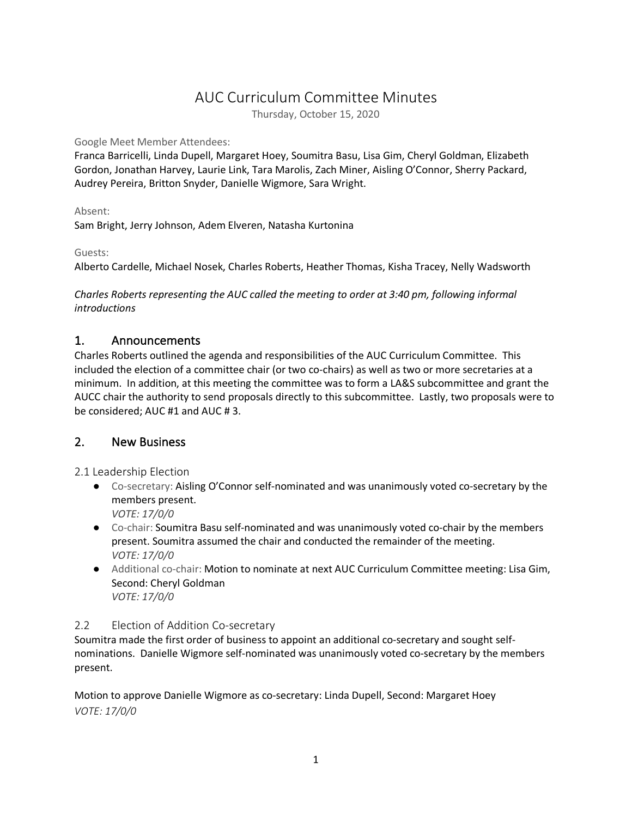# AUC Curriculum Committee Minutes

Thursday, October 15, 2020

#### Google Meet Member Attendees:

Franca Barricelli, Linda Dupell, Margaret Hoey, Soumitra Basu, Lisa Gim, Cheryl Goldman, Elizabeth Gordon, Jonathan Harvey, Laurie Link, Tara Marolis, Zach Miner, Aisling O'Connor, Sherry Packard, Audrey Pereira, Britton Snyder, Danielle Wigmore, Sara Wright.

Absent:

Sam Bright, Jerry Johnson, Adem Elveren, Natasha Kurtonina

## Guests:

Alberto Cardelle, Michael Nosek, Charles Roberts, Heather Thomas, Kisha Tracey, Nelly Wadsworth

*Charles Roberts representing the AUC called the meeting to order at 3:40 pm, following informal introductions*

## 1. Announcements

Charles Roberts outlined the agenda and responsibilities of the AUC Curriculum Committee. This included the election of a committee chair (or two co-chairs) as well as two or more secretaries at a minimum. In addition, at this meeting the committee was to form a LA&S subcommittee and grant the AUCC chair the authority to send proposals directly to this subcommittee. Lastly, two proposals were to be considered; AUC #1 and AUC # 3.

# 2. New Business

2.1 Leadership Election

- Co-secretary: Aisling O'Connor self-nominated and was unanimously voted co-secretary by the members present. *VOTE: 17/0/0*
- Co-chair: Soumitra Basu self-nominated and was unanimously voted co-chair by the members present. Soumitra assumed the chair and conducted the remainder of the meeting. *VOTE: 17/0/0*
- Additional co-chair: Motion to nominate at next AUC Curriculum Committee meeting: Lisa Gim, Second: Cheryl Goldman *VOTE: 17/0/0*

## 2.2 Election of Addition Co-secretary

Soumitra made the first order of business to appoint an additional co-secretary and sought selfnominations. Danielle Wigmore self-nominated was unanimously voted co-secretary by the members present.

Motion to approve Danielle Wigmore as co-secretary: Linda Dupell, Second: Margaret Hoey *VOTE: 17/0/0*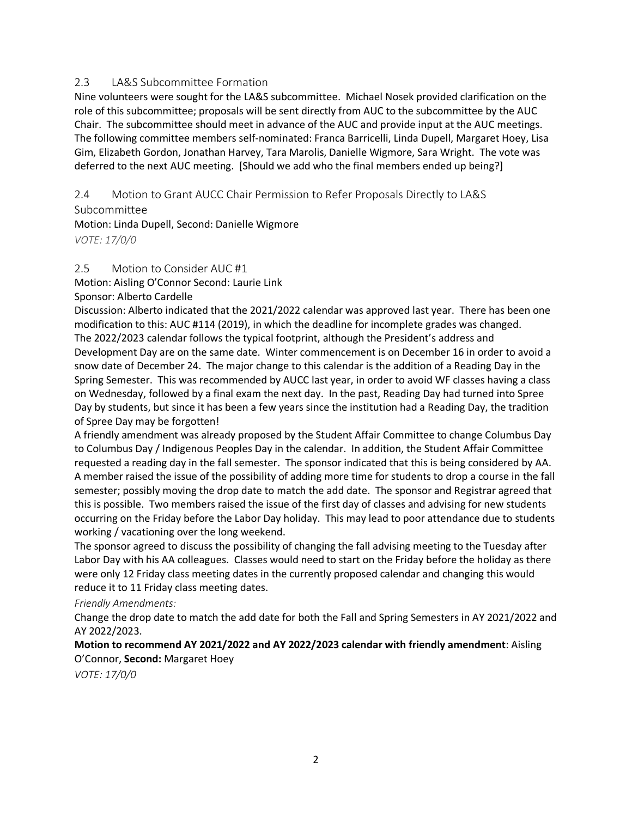## 2.3 LA&S Subcommittee Formation

Nine volunteers were sought for the LA&S subcommittee. Michael Nosek provided clarification on the role of this subcommittee; proposals will be sent directly from AUC to the subcommittee by the AUC Chair. The subcommittee should meet in advance of the AUC and provide input at the AUC meetings. The following committee members self-nominated: Franca Barricelli, Linda Dupell, Margaret Hoey, Lisa Gim, Elizabeth Gordon, Jonathan Harvey, Tara Marolis, Danielle Wigmore, Sara Wright. The vote was deferred to the next AUC meeting. [Should we add who the final members ended up being?]

2.4 Motion to Grant AUCC Chair Permission to Refer Proposals Directly to LA&S Subcommittee

Motion: Linda Dupell, Second: Danielle Wigmore *VOTE: 17/0/0*

#### 2.5 Motion to Consider AUC #1

Motion: Aisling O'Connor Second: Laurie Link

Sponsor: Alberto Cardelle

Discussion: Alberto indicated that the 2021/2022 calendar was approved last year. There has been one modification to this: AUC #114 (2019), in which the deadline for incomplete grades was changed. The 2022/2023 calendar follows the typical footprint, although the President's address and Development Day are on the same date. Winter commencement is on December 16 in order to avoid a snow date of December 24. The major change to this calendar is the addition of a Reading Day in the Spring Semester. This was recommended by AUCC last year, in order to avoid WF classes having a class on Wednesday, followed by a final exam the next day. In the past, Reading Day had turned into Spree Day by students, but since it has been a few years since the institution had a Reading Day, the tradition of Spree Day may be forgotten!

A friendly amendment was already proposed by the Student Affair Committee to change Columbus Day to Columbus Day / Indigenous Peoples Day in the calendar. In addition, the Student Affair Committee requested a reading day in the fall semester. The sponsor indicated that this is being considered by AA. A member raised the issue of the possibility of adding more time for students to drop a course in the fall semester; possibly moving the drop date to match the add date. The sponsor and Registrar agreed that this is possible. Two members raised the issue of the first day of classes and advising for new students occurring on the Friday before the Labor Day holiday. This may lead to poor attendance due to students working / vacationing over the long weekend.

The sponsor agreed to discuss the possibility of changing the fall advising meeting to the Tuesday after Labor Day with his AA colleagues. Classes would need to start on the Friday before the holiday as there were only 12 Friday class meeting dates in the currently proposed calendar and changing this would reduce it to 11 Friday class meeting dates.

#### *Friendly Amendments:*

Change the drop date to match the add date for both the Fall and Spring Semesters in AY 2021/2022 and AY 2022/2023.

## **Motion to recommend AY 2021/2022 and AY 2022/2023 calendar with friendly amendment**: Aisling O'Connor, **Second:** Margaret Hoey

*VOTE: 17/0/0*